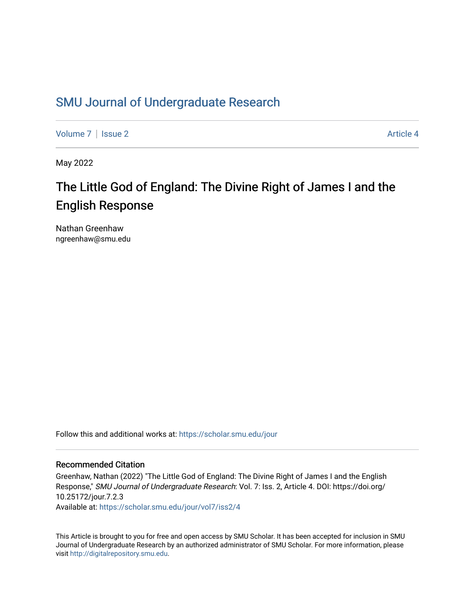## [SMU Journal of Undergraduate Research](https://scholar.smu.edu/jour)

[Volume 7](https://scholar.smu.edu/jour/vol7) | [Issue 2](https://scholar.smu.edu/jour/vol7/iss2) Article 4

May 2022

## The Little God of England: The Divine Right of James I and the English Response

Nathan Greenhaw ngreenhaw@smu.edu

Follow this and additional works at: [https://scholar.smu.edu/jour](https://scholar.smu.edu/jour?utm_source=scholar.smu.edu%2Fjour%2Fvol7%2Fiss2%2F4&utm_medium=PDF&utm_campaign=PDFCoverPages) 

#### Recommended Citation

Greenhaw, Nathan (2022) "The Little God of England: The Divine Right of James I and the English Response," SMU Journal of Undergraduate Research: Vol. 7: Iss. 2, Article 4. DOI: https://doi.org/ 10.25172/jour.7.2.3

Available at: [https://scholar.smu.edu/jour/vol7/iss2/4](https://scholar.smu.edu/jour/vol7/iss2/4?utm_source=scholar.smu.edu%2Fjour%2Fvol7%2Fiss2%2F4&utm_medium=PDF&utm_campaign=PDFCoverPages) 

This Article is brought to you for free and open access by SMU Scholar. It has been accepted for inclusion in SMU Journal of Undergraduate Research by an authorized administrator of SMU Scholar. For more information, please visit [http://digitalrepository.smu.edu](http://digitalrepository.smu.edu/).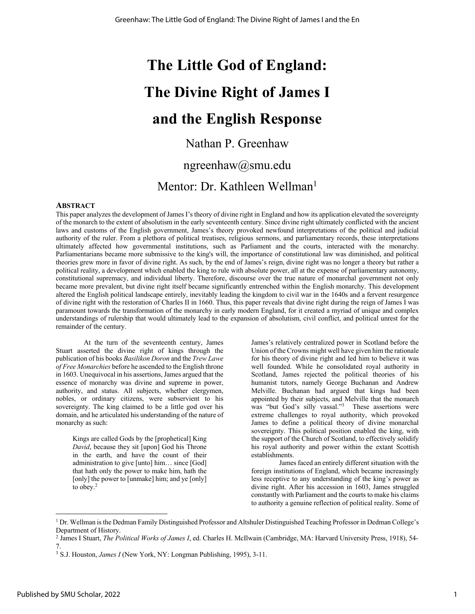# **The Little God of England: The Divine Right of James I and the English Response**

## Nathan P. Greenhaw

### ngreenhaw@smu.edu

## Mentor: Dr. Kathleen Wellman<sup>1</sup>

#### **ABSTRACT**

This paper analyzes the development of James I's theory of divine right in England and how its application elevated the sovereignty of the monarch to the extent of absolutism in the early seventeenth century. Since divine right ultimately conflicted with the ancient laws and customs of the English government, James's theory provoked newfound interpretations of the political and judicial authority of the ruler. From a plethora of political treatises, religious sermons, and parliamentary records, these interpretations ultimately affected how governmental institutions, such as Parliament and the courts, interacted with the monarchy. Parliamentarians became more submissive to the king's will, the importance of constitutional law was diminished, and political theories grew more in favor of divine right. As such, by the end of James's reign, divine right was no longer a theory but rather a political reality, a development which enabled the king to rule with absolute power, all at the expense of parliamentary autonomy, constitutional supremacy, and individual liberty. Therefore, discourse over the true nature of monarchal government not only became more prevalent, but divine right itself became significantly entrenched within the English monarchy. This development altered the English political landscape entirely, inevitably leading the kingdom to civil war in the 1640s and a fervent resurgence of divine right with the restoration of Charles II in 1660. Thus, this paper reveals that divine right during the reign of James I was paramount towards the transformation of the monarchy in early modern England, for it created a myriad of unique and complex understandings of rulership that would ultimately lead to the expansion of absolutism, civil conflict, and political unrest for the remainder of the century.

At the turn of the seventeenth century, James Stuart asserted the divine right of kings through the publication of his books *Basilikon Doron* and the *Trew Lawe of Free Monarchies* before he ascended to the English throne in 1603. Unequivocal in his assertions, James argued that the essence of monarchy was divine and supreme in power, authority, and status. All subjects, whether clergymen, nobles, or ordinary citizens, were subservient to his sovereignty. The king claimed to be a little god over his domain, and he articulated his understanding of the nature of monarchy as such:

Kings are called Gods by the [prophetical] King *David*, because they sit [upon] God his Throne in the earth, and have the count of their administration to give [unto] him… since [God] that hath only the power to make him, hath the [only] the power to [unmake] him; and ye [only] to obey.<sup>2</sup>

James's relatively centralized power in Scotland before the Union of the Crowns might well have given him the rationale for his theory of divine right and led him to believe it was well founded. While he consolidated royal authority in Scotland, James rejected the political theories of his humanist tutors, namely George Buchanan and Andrew Melville. Buchanan had argued that kings had been appointed by their subjects, and Melville that the monarch was "but God's silly vassal."<sup>3</sup> These assertions were extreme challenges to royal authority, which provoked James to define a political theory of divine monarchal sovereignty. This political position enabled the king, with the support of the Church of Scotland, to effectively solidify his royal authority and power within the extant Scottish establishments.

James faced an entirely different situation with the foreign institutions of England, which became increasingly less receptive to any understanding of the king's power as divine right. After his accession in 1603, James struggled constantly with Parliament and the courts to make his claims to authority a genuine reflection of political reality. Some of

<sup>1</sup> Dr. Wellman is the Dedman Family Distinguished Professor and Altshuler Distinguished Teaching Professor in Dedman College's Department of History.

<sup>2</sup> James I Stuart, *The Political Works of James I*, ed. Charles H. McIlwain (Cambridge, MA: Harvard University Press, 1918), 54- 7.

<sup>3</sup> S.J. Houston, *James I* (New York, NY: Longman Publishing, 1995), 3-11.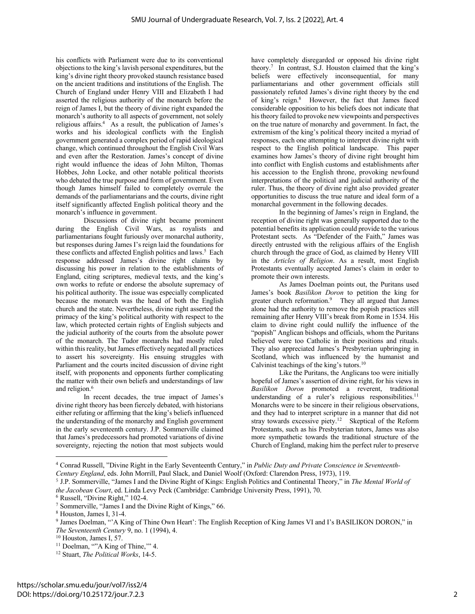his conflicts with Parliament were due to its conventional objections to the king's lavish personal expenditures, but the king's divine right theory provoked staunch resistance based on the ancient traditions and institutions of the English. The Church of England under Henry VIII and Elizabeth I had asserted the religious authority of the monarch before the reign of James I, but the theory of divine right expanded the monarch's authority to all aspects of government, not solely religious affairs.4 As a result, the publication of James's works and his ideological conflicts with the English government generated a complex period of rapid ideological change, which continued throughout the English Civil Wars and even after the Restoration. James's concept of divine right would influence the ideas of John Milton, Thomas Hobbes, John Locke, and other notable political theorists who debated the true purpose and form of government. Even though James himself failed to completely overrule the demands of the parliamentarians and the courts, divine right itself significantly affected English political theory and the monarch's influence in government.

Discussions of divine right became prominent during the English Civil Wars, as royalists and parliamentarians fought furiously over monarchal authority, but responses during James I's reign laid the foundations for these conflicts and affected English politics and laws.<sup>5</sup> Each response addressed James's divine right claims by discussing his power in relation to the establishments of England, citing scriptures, medieval texts, and the king's own works to refute or endorse the absolute supremacy of his political authority. The issue was especially complicated because the monarch was the head of both the English church and the state. Nevertheless, divine right asserted the primacy of the king's political authority with respect to the law, which protected certain rights of English subjects and the judicial authority of the courts from the absolute power of the monarch. The Tudor monarchs had mostly ruled within this reality, but James effectively negated all practices to assert his sovereignty. His ensuing struggles with Parliament and the courts incited discussion of divine right itself, with proponents and opponents further complicating the matter with their own beliefs and understandings of law and religion.<sup>6</sup>

In recent decades, the true impact of James's divine right theory has been fiercely debated, with historians either refuting or affirming that the king's beliefs influenced the understanding of the monarchy and English government in the early seventeenth century. J.P. Sommerville claimed that James's predecessors had promoted variations of divine sovereignty, rejecting the notion that most subjects would

have completely disregarded or opposed his divine right theory.7 In contrast, S.J. Houston claimed that the king's beliefs were effectively inconsequential, for many parliamentarians and other government officials still passionately refuted James's divine right theory by the end of king's reign.8 However, the fact that James faced considerable opposition to his beliefs does not indicate that his theory failed to provoke new viewpoints and perspectives on the true nature of monarchy and government. In fact, the extremism of the king's political theory incited a myriad of responses, each one attempting to interpret divine right with respect to the English political landscape. This paper examines how James's theory of divine right brought him into conflict with English customs and establishments after his accession to the English throne, provoking newfound interpretations of the political and judicial authority of the ruler. Thus, the theory of divine right also provided greater opportunities to discuss the true nature and ideal form of a monarchal government in the following decades.

In the beginning of James's reign in England, the reception of divine right was generally supported due to the potential benefits its application could provide to the various Protestant sects. As "Defender of the Faith," James was directly entrusted with the religious affairs of the English church through the grace of God, as claimed by Henry VIII in the *Articles of Religion*. As a result, most English Protestants eventually accepted James's claim in order to promote their own interests.

As James Doelman points out, the Puritans used James's book *Basilikon Doron* to petition the king for greater church reformation.<sup>9</sup> They all argued that James alone had the authority to remove the popish practices still remaining after Henry VIII's break from Rome in 1534. His claim to divine right could nullify the influence of the "popish" Anglican bishops and officials, whom the Puritans believed were too Catholic in their positions and rituals. They also appreciated James's Presbyterian upbringing in Scotland, which was influenced by the humanist and Calvinist teachings of the king's tutors.10

Like the Puritans, the Anglicans too were initially hopeful of James's assertion of divine right, for his views in *Basilikon Doron* promoted a reverent, traditional understanding of a ruler's religious responsibilities.<sup>11</sup> Monarchs were to be sincere in their religious observations, and they had to interpret scripture in a manner that did not stray towards excessive piety.<sup>12</sup> Skeptical of the Reform Protestants, such as his Presbyterian tutors, James was also more sympathetic towards the traditional structure of the Church of England, making him the perfect ruler to preserve

<sup>4</sup> Conrad Russell, "Divine Right in the Early Seventeenth Century," in *Public Duty and Private Conscience in Seventeenth-Century England*, eds. John Morrill, Paul Slack, and Daniel Woolf (Oxford: Clarendon Press, 1973), 119.

<sup>5</sup> J.P. Sommerville, "James I and the Divine Right of Kings: English Politics and Continental Theory," in *The Mental World of the Jacobean Court*, ed. Linda Levy Peck (Cambridge: Cambridge University Press, 1991), 70.

<sup>6</sup> Russell, "Divine Right," 102-4.

<sup>7</sup> Sommerville, "James I and the Divine Right of Kings," 66.

<sup>8</sup> Houston, James I, 31-4.

<sup>9</sup> James Doelman, "'A King of Thine Own Heart': The English Reception of King James VI and I's BASILIKON DORON," in *The Seventeenth Century* 9, no. 1 (1994), 4.

<sup>10</sup> Houston, James I, 57.

<sup>&</sup>lt;sup>11</sup> Doelman, ""A King of Thine," 4.

<sup>12</sup> Stuart, *The Political Works*, 14-5.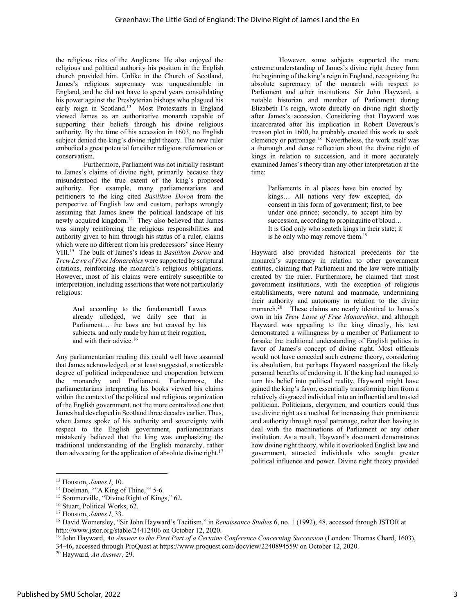the religious rites of the Anglicans. He also enjoyed the religious and political authority his position in the English church provided him. Unlike in the Church of Scotland, James's religious supremacy was unquestionable in England, and he did not have to spend years consolidating his power against the Presbyterian bishops who plagued his early reign in Scotland.13 Most Protestants in England viewed James as an authoritative monarch capable of supporting their beliefs through his divine religious authority. By the time of his accession in 1603, no English subject denied the king's divine right theory. The new ruler embodied a great potential for either religious reformation or conservatism.

Furthermore, Parliament was not initially resistant to James's claims of divine right, primarily because they misunderstood the true extent of the king's proposed authority. For example, many parliamentarians and petitioners to the king cited *Basilikon Doron* from the perspective of English law and custom, perhaps wrongly assuming that James knew the political landscape of his newly acquired kingdom.14 They also believed that James was simply reinforcing the religious responsibilities and authority given to him through his status of a ruler, claims which were no different from his predecessors' since Henry VIII.15 The bulk of James's ideas in *Basilikon Doron* and *Trew Lawe of Free Monarchies* were supported by scriptural citations, reinforcing the monarch's religious obligations. However, most of his claims were entirely susceptible to interpretation, including assertions that were not particularly religious:

And according to the fundamentall Lawes already alledged, we daily see that in Parliament… the laws are but craved by his subiects, and only made by him at their rogation, and with their advice.<sup>16</sup>

Any parliamentarian reading this could well have assumed that James acknowledged, or at least suggested, a noticeable degree of political independence and cooperation between the monarchy and Parliament. Furthermore, the parliamentarians interpreting his books viewed his claims within the context of the political and religious organization of the English government, not the more centralized one that James had developed in Scotland three decades earlier. Thus, when James spoke of his authority and sovereignty with respect to the English government, parliamentarians mistakenly believed that the king was emphasizing the traditional understanding of the English monarchy, rather than advocating for the application of absolute divine right.<sup>17</sup>

However, some subjects supported the more extreme understanding of James's divine right theory from the beginning of the king's reign in England, recognizing the absolute supremacy of the monarch with respect to Parliament and other institutions. Sir John Hayward, a notable historian and member of Parliament during Elizabeth I's reign, wrote directly on divine right shortly after James's accession. Considering that Hayward was incarcerated after his implication in Robert Devereux's treason plot in 1600, he probably created this work to seek clemency or patronage.<sup>18</sup> Nevertheless, the work itself was a thorough and dense reflection about the divine right of kings in relation to succession, and it more accurately examined James's theory than any other interpretation at the time:

Parliaments in al places have bin erected by kings… All nations very few excepted, do consent in this form of government; first, to bee under one prince; secondly, to accept him by succession, according to propinquitie of bloud… It is God only who seateth kings in their state; it is he only who may remove them.<sup>19</sup>

Hayward also provided historical precedents for the monarch's supremacy in relation to other government entities, claiming that Parliament and the law were initially created by the ruler. Furthermore, he claimed that most government institutions, with the exception of religious establishments, were natural and manmade, undermining their authority and autonomy in relation to the divine monarch.<sup>20</sup> These claims are nearly identical to James's own in his *Trew Lawe of Free Monarchies*, and although Hayward was appealing to the king directly, his text demonstrated a willingness by a member of Parliament to forsake the traditional understanding of English politics in favor of James's concept of divine right. Most officials would not have conceded such extreme theory, considering its absolutism, but perhaps Hayward recognized the likely personal benefits of endorsing it. If the king had managed to turn his belief into political reality, Hayward might have gained the king's favor, essentially transforming him from a relatively disgraced individual into an influential and trusted politician. Politicians, clergymen, and courtiers could thus use divine right as a method for increasing their prominence and authority through royal patronage, rather than having to deal with the machinations of Parliament or any other institution. As a result, Hayward's document demonstrates how divine right theory, while it overlooked English law and government, attracted individuals who sought greater political influence and power. Divine right theory provided

<sup>13</sup> Houston, *James I*, 10.

<sup>&</sup>lt;sup>14</sup> Doelman, ""A King of Thine," 5-6.

<sup>&</sup>lt;sup>15</sup> Sommerville, "Divine Right of Kings," 62.

<sup>16</sup> Stuart, Political Works, 62.

<sup>17</sup> Houston, *James I*, 33.

<sup>18</sup> David Womersley, "Sir John Hayward's Tacitism," in *Renaissance Studies* 6, no. 1 (1992), 48, accessed through JSTOR at http://www.jstor.org/stable/24412406 on October 12, 2020.

<sup>19</sup> John Hayward, *An Answer to the First Part of a Certaine Conference Concerning Succession* (London: Thomas Chard, 1603), 34-46, accessed through ProQuest at https://www.proquest.com/docview/2240894559/ on October 12, 2020.

<sup>20</sup> Hayward, *An Answer*, 29.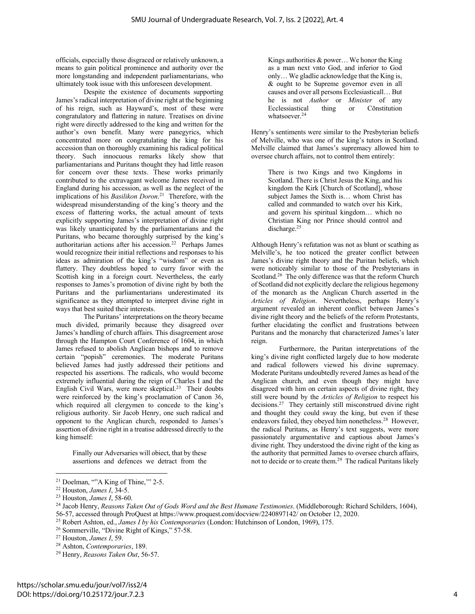officials, especially those disgraced or relatively unknown, a means to gain political prominence and authority over the more longstanding and independent parliamentarians, who ultimately took issue with this unforeseen development.

Despite the existence of documents supporting James's radical interpretation of divine right at the beginning of his reign, such as Hayward's, most of these were congratulatory and flattering in nature. Treatises on divine right were directly addressed to the king and written for the author's own benefit. Many were panegyrics, which concentrated more on congratulating the king for his accession than on thoroughly examining his radical political theory. Such innocuous remarks likely show that parliamentarians and Puritans thought they had little reason for concern over these texts. These works primarily contributed to the extravagant welcome James received in England during his accession, as well as the neglect of the implications of his *Basilikon Doron*. 21 Therefore, with the widespread misunderstanding of the king's theory and the excess of flattering works, the actual amount of texts explicitly supporting James's interpretation of divine right was likely unanticipated by the parliamentarians and the Puritans, who became thoroughly surprised by the king's authoritarian actions after his accession.22 Perhaps James would recognize their initial reflections and responses to his ideas as admiration of the king's "wisdom" or even as flattery. They doubtless hoped to curry favor with the Scottish king in a foreign court. Nevertheless, the early responses to James's promotion of divine right by both the Puritans and the parliamentarians underestimated its significance as they attempted to interpret divine right in ways that best suited their interests.

The Puritans' interpretations on the theory became much divided, primarily because they disagreed over James's handling of church affairs. This disagreement arose through the Hampton Court Conference of 1604, in which James refused to abolish Anglican bishops and to remove certain "popish" ceremonies. The moderate Puritans believed James had justly addressed their petitions and respected his assertions. The radicals, who would become extremely influential during the reign of Charles I and the English Civil Wars, were more skeptical.<sup>23</sup> Their doubts were reinforced by the king's proclamation of Canon 36, which required all clergymen to concede to the king's religious authority. Sir Jacob Henry, one such radical and opponent to the Anglican church, responded to James's assertion of divine right in a treatise addressed directly to the king himself:

Finally our Adversaries will obiect, that by these assertions and defences we detract from the

Kings authorities & power… We honor the King as a man next vnto God, and inferior to God only… We gladlie acknowledge that the King is, & ought to be Supreme governor even in all causes and over all persons Ecclesiasticall… But he is not *Author* or *Minister* of any Ecclessiastical thing or Cōnstitution whatsoever.<sup>24</sup>

Henry's sentiments were similar to the Presbyterian beliefs of Melville, who was one of the king's tutors in Scotland. Melville claimed that James's supremacy allowed him to oversee church affairs, not to control them entirely:

There is two Kings and two Kingdoms in Scotland. There is Christ Jesus the King, and his kingdom the Kirk [Church of Scotland], whose subject James the Sixth is… whom Christ has called and commanded to watch over his Kirk, and govern his spiritual kingdom… which no Christian King nor Prince should control and discharge.<sup>25</sup>

Although Henry's refutation was not as blunt or scathing as Melville's, he too noticed the greater conflict between James's divine right theory and the Puritan beliefs, which were noticeably similar to those of the Presbyterians in Scotland.<sup>26</sup> The only difference was that the reform Church of Scotland did not explicitly declare the religious hegemony of the monarch as the Anglican Church asserted in the *Articles of Religion*. Nevertheless, perhaps Henry's argument revealed an inherent conflict between James's divine right theory and the beliefs of the reform Protestants, further elucidating the conflict and frustrations between Puritans and the monarchy that characterized James's later reign.

Furthermore, the Puritan interpretations of the king's divine right conflicted largely due to how moderate and radical followers viewed his divine supremacy. Moderate Puritans undoubtedly revered James as head of the Anglican church, and even though they might have disagreed with him on certain aspects of divine right, they still were bound by the *Articles of Religion* to respect his decisions.27 They certainly still misconstrued divine right and thought they could sway the king, but even if these endeavors failed, they obeyed him nonetheless.28 However, the radical Puritans, as Henry's text suggests, were more passionately argumentative and captious about James's divine right. They understood the divine right of the king as the authority that permitted James to oversee church affairs, not to decide or to create them.<sup>29</sup> The radical Puritans likely

 $21$  Doelman, ""A King of Thine," 2-5.

<sup>22</sup> Houston, *James I*, 34-5.

<sup>23</sup> Houston, *James I*, 58-60.

<sup>&</sup>lt;sup>24</sup> Jacob Henry, *Reasons Taken Out of Gods Word and the Best Humane Testimonies*. (Middleborough: Richard Schilders, 1604), 56-57, accessed through ProQuest at https://www.proquest.com/docview/2240897142/ on October 12, 2020.

<sup>25</sup> Robert Ashton, ed., *James I by his Contemporaries* (London: Hutchinson of London, 1969), 175.

<sup>26</sup> Sommerville, "Divine Right of Kings," 57-58.

<sup>27</sup> Houston, *James I*, 59.

<sup>28</sup> Ashton, *Contemporaries*, 189.

<sup>29</sup> Henry, *Reasons Taken Out*, 56-57.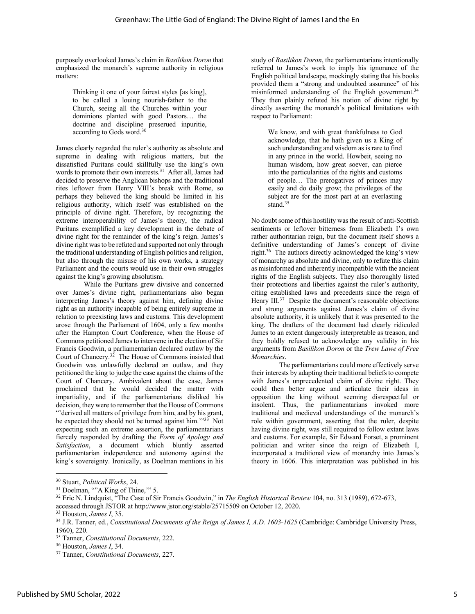purposely overlooked James's claim in *Basilikon Doron* that emphasized the monarch's supreme authority in religious matters:

Thinking it one of your fairest styles [as king], to be called a louing nourish-father to the Church, seeing all the Churches within your dominions planted with good Pastors… the doctrine and discipline preserued inpuritie, according to Gods word.<sup>30</sup>

James clearly regarded the ruler's authority as absolute and supreme in dealing with religious matters, but the dissatisfied Puritans could skillfully use the king's own words to promote their own interests.31 After all, James had decided to preserve the Anglican bishops and the traditional rites leftover from Henry VIII's break with Rome, so perhaps they believed the king should be limited in his religious authority, which itself was established on the principle of divine right. Therefore, by recognizing the extreme interoperability of James's theory, the radical Puritans exemplified a key development in the debate of divine right for the remainder of the king's reign. James's divine right was to be refuted and supported not only through the traditional understanding of English politics and religion, but also through the misuse of his own works, a strategy Parliament and the courts would use in their own struggles against the king's growing absolutism.

While the Puritans grew divisive and concerned over James's divine right, parliamentarians also began interpreting James's theory against him, defining divine right as an authority incapable of being entirely supreme in relation to preexisting laws and customs. This development arose through the Parliament of 1604, only a few months after the Hampton Court Conference, when the House of Commons petitioned James to intervene in the election of Sir Francis Goodwin, a parliamentarian declared outlaw by the Court of Chancery.32 The House of Commons insisted that Goodwin was unlawfully declared an outlaw, and they petitioned the king to judge the case against the claims of the Court of Chancery. Ambivalent about the case, James proclaimed that he would decided the matter with impartiality, and if the parliamentarians disliked his decision, they were to remember that the House of Commons "'derived all matters of privilege from him, and by his grant, he expected they should not be turned against him.""33 Not expecting such an extreme assertion, the parliamentarians fiercely responded by drafting the *Form of Apology and Satisfaction*, a document which bluntly asserted parliamentarian independence and autonomy against the king's sovereignty. Ironically, as Doelman mentions in his study of *Basilikon Doron*, the parliamentarians intentionally referred to James's work to imply his ignorance of the English political landscape, mockingly stating that his books provided them a "strong and undoubted assurance" of his misinformed understanding of the English government.<sup>34</sup> They then plainly refuted his notion of divine right by directly asserting the monarch's political limitations with respect to Parliament:

We know, and with great thankfulness to God acknowledge, that he hath given us a King of such understanding and wisdom as is rare to find in any prince in the world. Howbeit, seeing no human wisdom, how great soever, can pierce into the particularities of the rights and customs of people… The prerogatives of princes may easily and do daily grow; the privileges of the subject are for the most part at an everlasting stand.<sup>35</sup>

No doubt some of this hostility was the result of anti-Scottish sentiments or leftover bitterness from Elizabeth I's own rather authoritarian reign, but the document itself shows a definitive understanding of James's concept of divine right.36 The authors directly acknowledged the king's view of monarchy as absolute and divine, only to refute this claim as misinformed and inherently incompatible with the ancient rights of the English subjects. They also thoroughly listed their protections and liberties against the ruler's authority, citing established laws and precedents since the reign of Henry III.<sup>37</sup> Despite the document's reasonable objections and strong arguments against James's claim of divine absolute authority, it is unlikely that it was presented to the king. The drafters of the document had clearly ridiculed James to an extent dangerously interpretable as treason, and they boldly refused to acknowledge any validity in his arguments from *Basilikon Doron* or the *Trew Lawe of Free Monarchies*.

The parliamentarians could more effectively serve their interests by adapting their traditional beliefs to compete with James's unprecedented claim of divine right. They could then better argue and articulate their ideas in opposition the king without seeming disrespectful or insolent. Thus, the parliamentarians invoked more traditional and medieval understandings of the monarch's role within government, asserting that the ruler, despite having divine right, was still required to follow extant laws and customs. For example, Sir Edward Forset, a prominent politician and writer since the reign of Elizabeth I, incorporated a traditional view of monarchy into James's theory in 1606. This interpretation was published in his

<sup>30</sup> Stuart, *Political Works*, 24.

<sup>&</sup>lt;sup>31</sup> Doelman, ""A King of Thine," 5.

<sup>&</sup>lt;sup>32</sup> Eric N. Lindquist, "The Case of Sir Francis Goodwin," in *The English Historical Review* 104, no. 313 (1989), 672-673, accessed through JSTOR at http://www.jstor.org/stable/25715509 on October 12, 2020.

<sup>33</sup> Houston, *James I*, 35.

<sup>34</sup> J.R. Tanner, ed., *Constitutional Documents of the Reign of James I, A.D. 1603-1625* (Cambridge: Cambridge University Press, 1960), 220.

<sup>35</sup> Tanner, *Constitutional Documents*, 222.

<sup>36</sup> Houston, *James I*, 34.

<sup>37</sup> Tanner, *Constitutional Documents*, 227.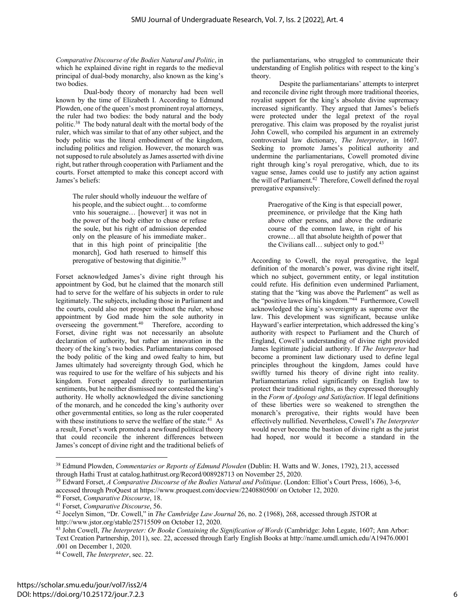*Comparative Discourse of the Bodies Natural and Politic*, in which he explained divine right in regards to the medieval principal of dual-body monarchy, also known as the king's two bodies.

Dual-body theory of monarchy had been well known by the time of Elizabeth I. According to Edmund Plowden, one of the queen's most prominent royal attorneys, the ruler had two bodies: the body natural and the body politic.38 The body natural dealt with the mortal body of the ruler, which was similar to that of any other subject, and the body politic was the literal embodiment of the kingdom, including politics and religion. However, the monarch was not supposed to rule absolutely as James asserted with divine right, but rather through cooperation with Parliament and the courts. Forset attempted to make this concept accord with James's beliefs:

The ruler should wholly indeuour the welfare of his people, and the subiect ought… to comforme vnto his soueraigne… [however] it was not in the power of the body either to chuse or refuse the soule, but his right of admission depended only on the pleasure of his immediate maker.. that in this high point of principalitie [the monarch], God hath reserued to himself this prerogative of bestowing that diginitie.<sup>39</sup>

Forset acknowledged James's divine right through his appointment by God, but he claimed that the monarch still had to serve for the welfare of his subjects in order to rule legitimately. The subjects, including those in Parliament and the courts, could also not prosper without the ruler, whose appointment by God made him the sole authority in overseeing the government.<sup>40</sup> Therefore, according to Forset, divine right was not necessarily an absolute declaration of authority, but rather an innovation in the theory of the king's two bodies. Parliamentarians composed the body politic of the king and owed fealty to him, but James ultimately had sovereignty through God, which he was required to use for the welfare of his subjects and his kingdom. Forset appealed directly to parliamentarian sentiments, but he neither dismissed nor contested the king's authority. He wholly acknowledged the divine sanctioning of the monarch, and he conceded the king's authority over other governmental entities, so long as the ruler cooperated with these institutions to serve the welfare of the state.<sup>41</sup> As a result, Forset's work promoted a newfound political theory that could reconcile the inherent differences between James's concept of divine right and the traditional beliefs of the parliamentarians, who struggled to communicate their understanding of English politics with respect to the king's theory.

Despite the parliamentarians' attempts to interpret and reconcile divine right through more traditional theories, royalist support for the king's absolute divine supremacy increased significantly. They argued that James's beliefs were protected under the legal pretext of the royal prerogative. This claim was proposed by the royalist jurist John Cowell, who compiled his argument in an extremely controversial law dictionary, *The Interpreter*, in 1607. Seeking to promote James's political authority and undermine the parliamentarians, Cowell promoted divine right through king's royal prerogative, which, due to its vague sense, James could use to justify any action against the will of Parliament.<sup>42</sup> Therefore, Cowell defined the royal prerogative expansively:

> Praerogative of the King is that especiall power, preeminence, or priviledge that the King hath above other persons, and above the ordinarie course of the common lawe, in right of his crowne… all that absolute heighth of power that the Civilians call... subject only to god.<sup>43</sup>

According to Cowell, the royal prerogative, the legal definition of the monarch's power, was divine right itself, which no subject, government entity, or legal institution could refute. His definition even undermined Parliament, stating that the "king was above the Parlement" as well as the "positive lawes of his kingdom."44 Furthermore, Cowell acknowledged the king's sovereignty as supreme over the law. This development was significant, because unlike Hayward's earlier interpretation, which addressed the king's authority with respect to Parliament and the Church of England, Cowell's understanding of divine right provided James legitimate judicial authority. If *The Interpreter* had become a prominent law dictionary used to define legal principles throughout the kingdom, James could have swiftly turned his theory of divine right into reality. Parliamentarians relied significantly on English law to protect their traditional rights, as they expressed thoroughly in the *Form of Apology and Satisfaction*. If legal definitions of these liberties were so weakened to strengthen the monarch's prerogative, their rights would have been effectively nullified. Nevertheless, Cowell's *The Interpreter* would never become the bastion of divine right as the jurist had hoped, nor would it become a standard in the

<sup>38</sup> Edmund Plowden, *Commentaries or Reports of Edmund Plowden* (Dublin: H. Watts and W. Jones, 1792), 213, accessed through Hathi Trust at catalog.hathitrust.org/Record/008928713 on November 25, 2020.

<sup>&</sup>lt;sup>39</sup> Edward Forset, *A Comparative Discourse of the Bodies Natural and Politique*. (London: Elliot's Court Press, 1606), 3-6, accessed through ProQuest at https://www.proquest.com/docview/2240880500/ on October 12, 2020.

<sup>40</sup> Forset, *Comparative Discourse*, 18.

<sup>41</sup> Forset, *Comparative Discourse*, 56.

<sup>42</sup> Jocelyn Simon, "Dr. Cowell," in *The Cambridge Law Journal* 26, no. 2 (1968), 268, accessed through JSTOR at

http://www.jstor.org/stable/25715509 on October 12, 2020.

<sup>43</sup> John Cowell, *The Interpreter: Or Booke Containing the Signification of Words* (Cambridge: John Legate, 1607; Ann Arbor: Text Creation Partnership, 2011), sec. 22, accessed through Early English Books at http://name.umdl.umich.edu/A19476.0001 .001 on December 1, 2020.

<sup>44</sup> Cowell, *The Interpreter*, sec. 22.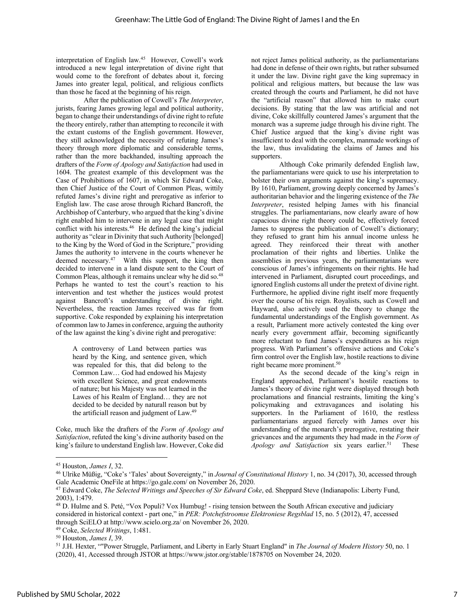interpretation of English law.45 However, Cowell's work introduced a new legal interpretation of divine right that would come to the forefront of debates about it, forcing James into greater legal, political, and religious conflicts than those he faced at the beginning of his reign.

After the publication of Cowell's *The Interpreter*, jurists, fearing James growing legal and political authority, began to change their understandings of divine right to refute the theory entirely, rather than attempting to reconcile it with the extant customs of the English government. However, they still acknowledged the necessity of refuting James's theory through more diplomatic and considerable terms, rather than the more backhanded, insulting approach the drafters of the *Form of Apology and Satisfaction* had used in 1604. The greatest example of this development was the Case of Prohibitions of 1607, in which Sir Edward Coke, then Chief Justice of the Court of Common Pleas, wittily refuted James's divine right and prerogative as inferior to English law. The case arose through Richard Bancroft, the Archbishop of Canterbury, who argued that the king's divine right enabled him to intervene in any legal case that might conflict with his interests.<sup>46</sup> He defined the king's judicial authority as "clear in Divinity that such Authority [belonged] to the King by the Word of God in the Scripture," providing James the authority to intervene in the courts whenever he deemed necessary.47 With this support, the king then decided to intervene in a land dispute sent to the Court of Common Pleas, although it remains unclear why he did so.<sup>48</sup> Perhaps he wanted to test the court's reaction to his intervention and test whether the justices would protest against Bancroft's understanding of divine right. Nevertheless, the reaction James received was far from supportive. Coke responded by explaining his interpretation of common law to James in conference, arguing the authority of the law against the king's divine right and prerogative:

A controversy of Land between parties was heard by the King, and sentence given, which was repealed for this, that did belong to the Common Law… God had endowed his Majesty with excellent Science, and great endowments of nature; but his Majesty was not learned in the Lawes of his Realm of England… they are not decided to be decided by naturall reason but by the artificiall reason and judgment of Law.49

Coke, much like the drafters of the *Form of Apology and Satisfaction*, refuted the king's divine authority based on the king's failure to understand English law. However, Coke did

not reject James political authority, as the parliamentarians had done in defense of their own rights, but rather subsumed it under the law. Divine right gave the king supremacy in political and religious matters, but because the law was created through the courts and Parliament, he did not have the "artificial reason" that allowed him to make court decisions. By stating that the law was artificial and not divine, Coke skillfully countered James's argument that the monarch was a supreme judge through his divine right. The Chief Justice argued that the king's divine right was insufficient to deal with the complex, manmade workings of the law, thus invalidating the claims of James and his supporters.

Although Coke primarily defended English law, the parliamentarians were quick to use his interpretation to bolster their own arguments against the king's supremacy. By 1610, Parliament, growing deeply concerned by James's authoritarian behavior and the lingering existence of the *The Interpreter*, resisted helping James with his financial struggles. The parliamentarians, now clearly aware of how capacious divine right theory could be, effectively forced James to suppress the publication of Cowell's dictionary; they refused to grant him his annual income unless he agreed. They reinforced their threat with another proclamation of their rights and liberties. Unlike the assemblies in previous years, the parliamentarians were conscious of James's infringements on their rights. He had intervened in Parliament, disrupted court proceedings, and ignored English customs all under the pretext of divine right. Furthermore, he applied divine right itself more frequently over the course of his reign. Royalists, such as Cowell and Hayward, also actively used the theory to change the fundamental understandings of the English government. As a result, Parliament more actively contested the king over nearly every government affair, becoming significantly more reluctant to fund James's expenditures as his reign progress. With Parliament's offensive actions and Coke's firm control over the English law, hostile reactions to divine right became more prominent.<sup>50</sup>

As the second decade of the king's reign in England approached, Parliament's hostile reactions to James's theory of divine right were displayed through both proclamations and financial restraints, limiting the king's policymaking and extravagances and isolating his supporters. In the Parliament of 1610, the restless parliamentarians argued fiercely with James over his understanding of the monarch's prerogative, restating their grievances and the arguments they had made in the *Form of Apology and Satisfaction* six years earlier.<sup>51</sup> These

<sup>49</sup> Coke, *Selected Writings*, 1:481.

<sup>45</sup> Houston, *James I*, 32.

<sup>46</sup> Ulrike Müßig, "Coke's 'Tales' about Sovereignty," in *Journal of Constitutional History* 1, no. 34 (2017), 30, accessed through Gale Academic OneFile at https://go.gale.com/ on November 26, 2020.

<sup>47</sup> Edward Coke, *The Selected Writings and Speeches of Sir Edward Coke*, ed. Sheppard Steve (Indianapolis: Liberty Fund, 2003), 1:479.

<sup>48</sup> D. Hulme and S. Peté, "Vox Populi? Vox Humbug! - rising tension between the South African executive and judiciary considered in historical context - part one," in *PER: Potchefstroomse Elektroniese Regsblad* 15, no. 5 (2012), 47, accessed through SciELO at http://www.scielo.org.za/ on November 26, 2020.

<sup>50</sup> Houston, *James I*, 39.

<sup>51</sup> J.H. Hexter, ""Power Struggle, Parliament, and Liberty in Early Stuart England" in *The Journal of Modern History* 50, no. 1 (2020), 41, Accessed through JSTOR at https://www.jstor.org/stable/1878705 on November 24, 2020.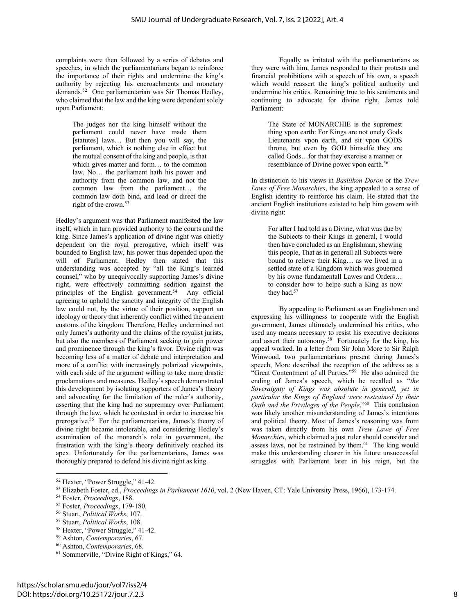complaints were then followed by a series of debates and speeches, in which the parliamentarians began to reinforce the importance of their rights and undermine the king's authority by rejecting his encroachments and monetary demands.52 One parliamentarian was Sir Thomas Hedley, who claimed that the law and the king were dependent solely upon Parliament:

The judges nor the king himself without the parliament could never have made them [statutes] laws… But then you will say, the parliament, which is nothing else in effect but the mutual consent of the king and people, is that which gives matter and form… to the common law. No… the parliament hath his power and authority from the common law, and not the common law from the parliament… the common law doth bind, and lead or direct the right of the crown.53

Hedley's argument was that Parliament manifested the law itself, which in turn provided authority to the courts and the king. Since James's application of divine right was chiefly dependent on the royal prerogative, which itself was bounded to English law, his power thus depended upon the will of Parliament. Hedley then stated that this understanding was accepted by "all the King's learned counsel," who by unequivocally supporting James's divine right, were effectively committing sedition against the principles of the English government.<sup>54</sup> Any official agreeing to uphold the sanctity and integrity of the English law could not, by the virtue of their position, support an ideology or theory that inherently conflict withed the ancient customs of the kingdom. Therefore, Hedley undermined not only James's authority and the claims of the royalist jurists, but also the members of Parliament seeking to gain power and prominence through the king's favor. Divine right was becoming less of a matter of debate and interpretation and more of a conflict with increasingly polarized viewpoints, with each side of the argument willing to take more drastic proclamations and measures. Hedley's speech demonstrated this development by isolating supporters of James's theory and advocating for the limitation of the ruler's authority, asserting that the king had no supremacy over Parliament through the law, which he contested in order to increase his prerogative.55 For the parliamentarians, James's theory of divine right became intolerable, and considering Hedley's examination of the monarch's role in government, the frustration with the king's theory definitively reached its apex. Unfortunately for the parliamentarians, James was thoroughly prepared to defend his divine right as king.

Equally as irritated with the parliamentarians as they were with him, James responded to their protests and financial prohibitions with a speech of his own, a speech which would reassert the king's political authority and undermine his critics. Remaining true to his sentiments and continuing to advocate for divine right, James told Parliament:

The State of MONARCHIE is the supremest thing vpon earth: For Kings are not onely Gods Lieutenants vpon earth, and sit vpon GODS throne, but even by GOD himselfe they are called Gods…for that they exercise a manner or resemblance of Divine power vpon earth.<sup>56</sup>

In distinction to his views in *Basilikon Doron* or the *Trew Lawe of Free Monarchies*, the king appealed to a sense of English identity to reinforce his claim. He stated that the ancient English institutions existed to help him govern with divine right:

For after I had told as a Divine, what was due by the Subiects to their Kings in general, I would then have concluded as an Englishman, shewing this people, That as in generall all Subiects were bound to relieve their King… as we lived in a settled state of a Kingdom which was gouerned by his owne fundamentall Lawes and Orders… to consider how to helpe such a King as now they had.<sup>57</sup>

By appealing to Parliament as an Englishmen and expressing his willingness to cooperate with the English government, James ultimately undermined his critics, who used any means necessary to resist his executive decisions and assert their autonomy.<sup>58</sup> Fortunately for the king, his appeal worked. In a letter from Sir John More to Sir Ralph Winwood, two parliamentarians present during James's speech, More described the reception of the address as a "Great Contentment of all Parties."59 He also admired the ending of James's speech, which he recalled as "*the Soveraignty of Kings was absolute in generall, yet in particular the Kings of England were restrained by their Oath and the Privileges of the People*."60 This conclusion was likely another misunderstanding of James's intentions and political theory. Most of James's reasoning was from was taken directly from his own *Trew Lawe of Free Monarchies*, which claimed a just ruler should consider and assess laws, not be restrained by them.<sup>61</sup> The king would make this understanding clearer in his future unsuccessful struggles with Parliament later in his reign, but the

<sup>52</sup> Hexter, "Power Struggle," 41-42.

<sup>53</sup> Elizabeth Foster, ed., *Proceedings in Parliament 1610*, vol. 2 (New Haven, CT: Yale University Press, 1966), 173-174.

<sup>54</sup> Foster, *Proceedings*, 188.

<sup>55</sup> Foster, *Proceedings*, 179-180.

<sup>56</sup> Stuart, *Political Works*, 107.

<sup>57</sup> Stuart, *Political Works*, 108.

<sup>58</sup> Hexter, "Power Struggle," 41-42.

<sup>59</sup> Ashton, *Contemporaries*, 67.

<sup>60</sup> Ashton, *Contemporaries*, 68.

<sup>61</sup> Sommerville, "Divine Right of Kings," 64.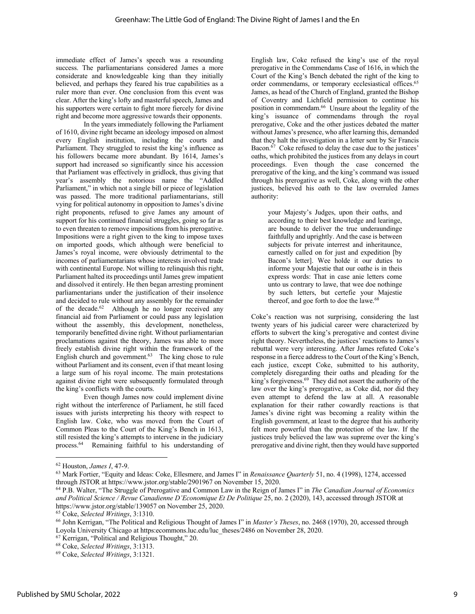immediate effect of James's speech was a resounding success. The parliamentarians considered James a more considerate and knowledgeable king than they initially believed, and perhaps they feared his true capabilities as a ruler more than ever. One conclusion from this event was clear. After the king's lofty and masterful speech, James and his supporters were certain to fight more fiercely for divine right and become more aggressive towards their opponents.

In the years immediately following the Parliament of 1610, divine right became an ideology imposed on almost every English institution, including the courts and Parliament. They struggled to resist the king's influence as his followers became more abundant. By 1614, James's support had increased so significantly since his accession that Parliament was effectively in gridlock, thus giving that year's assembly the notorious name the "Addled Parliament," in which not a single bill or piece of legislation was passed. The more traditional parliamentarians, still vying for political autonomy in opposition to James's divine right proponents, refused to give James any amount of support for his continued financial struggles, going so far as to even threaten to remove impositions from his prerogative. Impositions were a right given to the king to impose taxes on imported goods, which although were beneficial to James's royal income, were obviously detrimental to the incomes of parliamentarians whose interests involved trade with continental Europe. Not willing to relinquish this right, Parliament halted its proceedings until James grew impatient and dissolved it entirely. He then began arresting prominent parliamentarians under the justification of their insolence and decided to rule without any assembly for the remainder of the decade.62 Although he no longer received any financial aid from Parliament or could pass any legislation without the assembly, this development, nonetheless, temporarily benefitted divine right. Without parliamentarian proclamations against the theory, James was able to more freely establish divine right within the framework of the English church and government. $63$  The king chose to rule without Parliament and its consent, even if that meant losing a large sum of his royal income. The main protestations against divine right were subsequently formulated through the king's conflicts with the courts.

Even though James now could implement divine right without the interference of Parliament, he still faced issues with jurists interpreting his theory with respect to English law. Coke, who was moved from the Court of Common Pleas to the Court of the King's Bench in 1613, still resisted the king's attempts to intervene in the judiciary process.64 Remaining faithful to his understanding of

English law, Coke refused the king's use of the royal prerogative in the Commendams Case of 1616, in which the Court of the King's Bench debated the right of the king to order commendams, or temporary ecclesiastical offices.<sup>65</sup> James, as head of the Church of England, granted the Bishop of Coventry and Lichfield permission to continue his position in commendam.66 Unsure about the legality of the king's issuance of commendams through the royal prerogative, Coke and the other justices debated the matter without James's presence, who after learning this, demanded that they halt the investigation in a letter sent by Sir Francis Bacon.<sup>67</sup> Coke refused to delay the case due to the justices' oaths, which prohibited the justices from any delays in court proceedings. Even though the case concerned the prerogative of the king, and the king's command was issued through his prerogative as well, Coke, along with the other justices, believed his oath to the law overruled James authority:

your Majesty's Judges, upon their oaths, and according to their best knowledge and learinge, are bounde to deliver the true underaundinge faithfully and uprightly. And the case is between subjects for private interrest and inheritaunce, earnestly called on for just and expedition [by Bacon's letter]. Wee holde it our duties to informe your Majestie that our oathe is in theis express words: That in case anie letters come unto us contrary to lawe, that wee doe nothinge by such letters, but certefie your Majestie thereof, and goe forth to doe the lawe.<sup>68</sup>

Coke's reaction was not surprising, considering the last twenty years of his judicial career were characterized by efforts to subvert the king's prerogative and contest divine right theory. Nevertheless, the justices' reactions to James's rebuttal were very interesting. After James refuted Coke's response in a fierce address to the Court of the King's Bench, each justice, except Coke, submitted to his authority, completely disregarding their oaths and pleading for the king's forgiveness.<sup>69</sup> They did not assert the authority of the law over the king's prerogative, as Coke did, nor did they even attempt to defend the law at all. A reasonable explanation for their rather cowardly reactions is that James's divine right was becoming a reality within the English government, at least to the degree that his authority felt more powerful than the protection of the law. If the justices truly believed the law was supreme over the king's prerogative and divine right, then they would have supported

<sup>62</sup> Houston, *James I*, 47-9.

<sup>63</sup> Mark Fortier, "Equity and Ideas: Coke, Ellesmere, and James I" in *Renaissance Quarterly* 51, no. 4 (1998), 1274, accessed through JSTOR at https://www.jstor.org/stable/2901967 on November 15, 2020.

<sup>64</sup> P.B. Walter, "The Struggle of Prerogative and Common Law in the Reign of James I" in *The Canadian Journal of Economics and Political Science / Revue Canadienne D'Economique Et De Politique* 25, no. 2 (2020), 143, accessed through JSTOR at https://www.jstor.org/stable/139057 on November 25, 2020.

<sup>65</sup> Coke, *Selected Writings*, 3:1310.

<sup>66</sup> John Kerrigan, "The Political and Religious Thought of James I" in *Master's Theses*, no. 2468 (1970), 20, accessed through Loyola University Chicago at https:ecommons.luc.edu/luc\_theses/2486 on November 28, 2020.

<sup>67</sup> Kerrigan, "Political and Religious Thought," 20.

<sup>68</sup> Coke, *Selected Writings*, 3:1313.

<sup>69</sup> Coke, *Selected Writings*, 3:1321.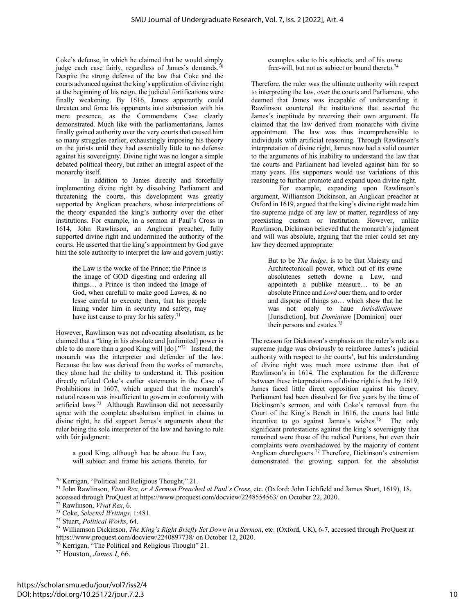Coke's defense, in which he claimed that he would simply judge each case fairly, regardless of James's demands.<sup>70</sup> Despite the strong defense of the law that Coke and the courts advanced against the king's application of divine right at the beginning of his reign, the judicial fortifications were finally weakening. By 1616, James apparently could threaten and force his opponents into submission with his mere presence, as the Commendams Case clearly demonstrated. Much like with the parliamentarians, James finally gained authority over the very courts that caused him so many struggles earlier, exhaustingly imposing his theory on the jurists until they had essentially little to no defense against his sovereignty. Divine right was no longer a simple debated political theory, but rather an integral aspect of the monarchy itself.

In addition to James directly and forcefully implementing divine right by dissolving Parliament and threatening the courts, this development was greatly supported by Anglican preachers, whose interpretations of the theory expanded the king's authority over the other institutions. For example, in a sermon at Paul's Cross in 1614, John Rawlinson, an Anglican preacher, fully supported divine right and undermined the authority of the courts. He asserted that the king's appointment by God gave him the sole authority to interpret the law and govern justly:

the Law is the worke of the Prince; the Prince is the image of GOD digesting and ordering all things… a Prince is then indeed the Image of God, when carefull to make good Lawes, & no lesse careful to execute them, that his people liuing vnder him in security and safety, may have iust cause to pray for his safety.<sup>71</sup>

However, Rawlinson was not advocating absolutism, as he claimed that a "king in his absolute and [unlimited] power is able to do more than a good King will [do]."72 Instead, the monarch was the interpreter and defender of the law. Because the law was derived from the works of monarchs, they alone had the ability to understand it. This position directly refuted Coke's earlier statements in the Case of Prohibitions in 1607, which argued that the monarch's natural reason was insufficient to govern in conformity with artificial laws.73 Although Rawlinson did not necessarily agree with the complete absolutism implicit in claims to divine right, he did support James's arguments about the ruler being the sole interpreter of the law and having to rule with fair judgment:

a good King, although hee be aboue the Law, will subiect and frame his actions thereto, for examples sake to his subiects, and of his owne free-will, but not as subject or bound thereto.<sup>74</sup>

Therefore, the ruler was the ultimate authority with respect to interpreting the law, over the courts and Parliament, who deemed that James was incapable of understanding it. Rawlinson countered the institutions that asserted the James's ineptitude by reversing their own argument. He claimed that the law derived from monarchs with divine appointment. The law was thus incomprehensible to individuals with artificial reasoning. Through Rawlinson's interpretation of divine right, James now had a valid counter to the arguments of his inability to understand the law that the courts and Parliament had leveled against him for so many years. His supporters would use variations of this reasoning to further promote and expand upon divine right.

For example, expanding upon Rawlinson's argument, Williamson Dickinson, an Anglican preacher at Oxford in 1619, argued that the king's divine right made him the supreme judge of any law or matter, regardless of any preexisting custom or institution. However, unlike Rawlinson, Dickinson believed that the monarch's judgment and will was absolute, arguing that the ruler could set any law they deemed appropriate:

But to be *The Iudge*, is to be that Maiesty and Architectonicall power, which out of its owne absolutenes setteth downe a Law, and appointeth a publike measure… to be an absolute Prince and *Lord* ouer them, and to order and dispose of things so… which shew that he was not onely to haue *Iurisdictionem* [Jurisdiction], but *Dominium* [Dominion] ouer their persons and estates.75

The reason for Dickinson's emphasis on the ruler's role as a supreme judge was obviously to reinforce James's judicial authority with respect to the courts', but his understanding of divine right was much more extreme than that of Rawlinson's in 1614. The explanation for the difference between these interpretations of divine right is that by 1619, James faced little direct opposition against his theory. Parliament had been dissolved for five years by the time of Dickinson's sermon, and with Coke's removal from the Court of the King's Bench in 1616, the courts had little incentive to go against James's wishes.76 The only significant protestations against the king's sovereignty that remained were those of the radical Puritans, but even their complaints were overshadowed by the majority of content Anglican churchgoers.77 Therefore, Dickinson's extremism demonstrated the growing support for the absolutist

<sup>70</sup> Kerrigan, "Political and Religious Thought," 21.

<sup>71</sup> John Rawlinson, *Vivat Rex, or A Sermon Preached at Paul's Cross*, etc. (Oxford: John Lichfield and James Short, 1619), 18, accessed through ProQuest at https://www.proquest.com/docview/2248554563/ on October 22, 2020.

<sup>72</sup> Rawlinson, *Vivat Rex*, 6.

<sup>73</sup> Coke, *Selected Writings*, 1:481.

<sup>74</sup> Stuart, *Political Works*, 64.

<sup>75</sup> Williamson Dickinson, *The King's Right Briefly Set Down in a Sermon*, etc. (Oxford, UK), 6-7, accessed through ProQuest at https://www.proquest.com/docview/2240897738/ on October 12, 2020.

<sup>&</sup>lt;sup>76</sup> Kerrigan, "The Political and Religious Thought" 21.

<sup>77</sup> Houston, *James I*, 66.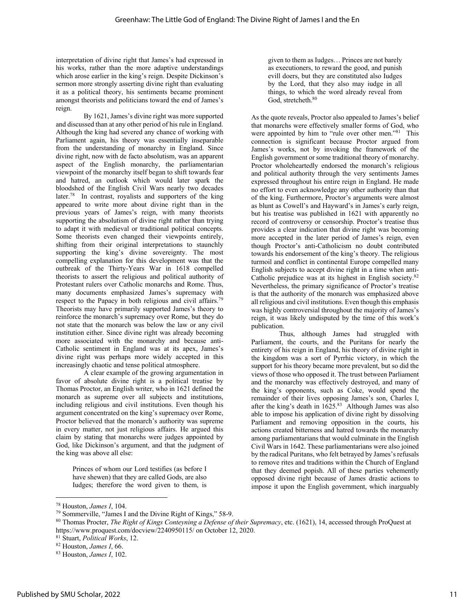interpretation of divine right that James's had expressed in his works, rather than the more adaptive understandings which arose earlier in the king's reign. Despite Dickinson's sermon more strongly asserting divine right than evaluating it as a political theory, his sentiments became prominent amongst theorists and politicians toward the end of James's reign.

By 1621, James's divine right was more supported and discussed than at any other period of his rule in England. Although the king had severed any chance of working with Parliament again, his theory was essentially inseparable from the understanding of monarchy in England. Since divine right, now with de facto absolutism, was an apparent aspect of the English monarchy, the parliamentarian viewpoint of the monarchy itself began to shift towards fear and hatred, an outlook which would later spark the bloodshed of the English Civil Wars nearly two decades later.<sup>78</sup> In contrast, royalists and supporters of the king appeared to write more about divine right than in the previous years of James's reign, with many theorists supporting the absolutism of divine right rather than trying to adapt it with medieval or traditional political concepts. Some theorists even changed their viewpoints entirely, shifting from their original interpretations to staunchly supporting the king's divine sovereignty. The most compelling explanation for this development was that the outbreak of the Thirty-Years War in 1618 compelled theorists to assert the religious and political authority of Protestant rulers over Catholic monarchs and Rome. Thus, many documents emphasized James's supremacy with respect to the Papacy in both religious and civil affairs.<sup>79</sup> Theorists may have primarily supported James's theory to reinforce the monarch's supremacy over Rome, but they do not state that the monarch was below the law or any civil institution either. Since divine right was already becoming more associated with the monarchy and because anti-Catholic sentiment in England was at its apex, James's divine right was perhaps more widely accepted in this increasingly chaotic and tense political atmosphere.

A clear example of the growing argumentation in favor of absolute divine right is a political treatise by Thomas Proctor, an English writer, who in 1621 defined the monarch as supreme over all subjects and institutions, including religious and civil institutions. Even though his argument concentrated on the king's supremacy over Rome, Proctor believed that the monarch's authority was supreme in every matter, not just religious affairs. He argued this claim by stating that monarchs were judges appointed by God, like Dickinson's argument, and that the judgment of the king was above all else:

Princes of whom our Lord testifies (as before I have shewen) that they are called Gods, are also Iudges; therefore the word given to them, is

given to them as Iudges… Princes are not barely as executioners, to reward the good, and punish evill doers, but they are constituted also Iudges by the Lord, that they also may iudge in all things, to which the word already reveal from God, stretcheth.<sup>80</sup>

As the quote reveals, Proctor also appealed to James's belief that monarchs were effectively smaller forms of God, who were appointed by him to "rule over other men."<sup>81</sup> This connection is significant because Proctor argued from James's works, not by invoking the framework of the English government or some traditional theory of monarchy. Proctor wholeheartedly endorsed the monarch's religious and political authority through the very sentiments James expressed throughout his entire reign in England. He made no effort to even acknowledge any other authority than that of the king. Furthermore, Proctor's arguments were almost as blunt as Cowell's and Hayward's in James's early reign, but his treatise was published in 1621 with apparently no record of controversy or censorship. Proctor's treatise thus provides a clear indication that divine right was becoming more accepted in the later period of James's reign, even though Proctor's anti-Catholicism no doubt contributed towards his endorsement of the king's theory. The religious turmoil and conflict in continental Europe compelled many English subjects to accept divine right in a time when anti-Catholic prejudice was at its highest in English society.82 Nevertheless, the primary significance of Proctor's treatise is that the authority of the monarch was emphasized above all religious and civil institutions. Even though this emphasis was highly controversial throughout the majority of James's reign, it was likely undisputed by the time of this work's publication.

Thus, although James had struggled with Parliament, the courts, and the Puritans for nearly the entirety of his reign in England, his theory of divine right in the kingdom was a sort of Pyrrhic victory, in which the support for his theory became more prevalent, but so did the views of those who opposed it. The trust between Parliament and the monarchy was effectively destroyed, and many of the king's opponents, such as Coke, would spend the remainder of their lives opposing James's son, Charles I, after the king's death in  $1625.^{83}$  Although James was also able to impose his application of divine right by dissolving Parliament and removing opposition in the courts, his actions created bitterness and hatred towards the monarchy among parliamentarians that would culminate in the English Civil Wars in 1642. These parliamentarians were also joined by the radical Puritans, who felt betrayed by James's refusals to remove rites and traditions within the Church of England that they deemed popish. All of these parties vehemently opposed divine right because of James drastic actions to impose it upon the English government, which inarguably

<sup>78</sup> Houston, *James I*, 104.

<sup>79</sup> Sommerville, "James I and the Divine Right of Kings," 58-9.

<sup>80</sup> Thomas Procter, *The Right of Kings Conteyning a Defense of their Supremacy*, etc. (1621), 14, accessed through ProQuest at https://www.proquest.com/docview/2240950115/ on October 12, 2020.

<sup>81</sup> Stuart, *Political Works*, 12.

<sup>82</sup> Houston, *James I*, 66.

<sup>83</sup> Houston, *James I*, 102.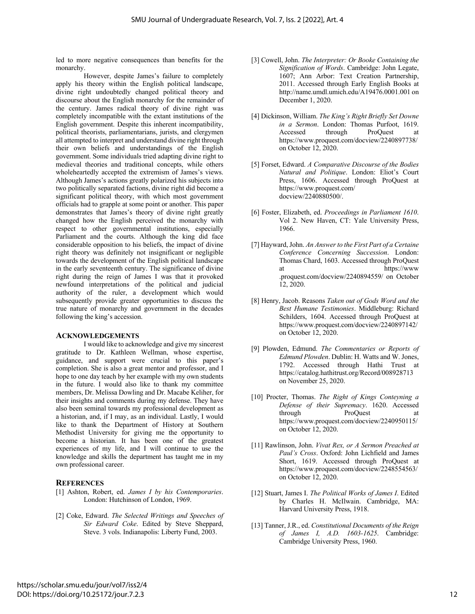led to more negative consequences than benefits for the monarchy.

However, despite James's failure to completely apply his theory within the English political landscape, divine right undoubtedly changed political theory and discourse about the English monarchy for the remainder of the century. James radical theory of divine right was completely incompatible with the extant institutions of the English government. Despite this inherent incompatibility, political theorists, parliamentarians, jurists, and clergymen all attempted to interpret and understand divine right through their own beliefs and understandings of the English government. Some individuals tried adapting divine right to medieval theories and traditional concepts, while others wholeheartedly accepted the extremism of James's views. Although James's actions greatly polarized his subjects into two politically separated factions, divine right did become a significant political theory, with which most government officials had to grapple at some point or another. This paper demonstrates that James's theory of divine right greatly changed how the English perceived the monarchy with respect to other governmental institutions, especially Parliament and the courts. Although the king did face considerable opposition to his beliefs, the impact of divine right theory was definitely not insignificant or negligible towards the development of the English political landscape in the early seventeenth century. The significance of divine right during the reign of James I was that it provoked newfound interpretations of the political and judicial authority of the ruler, a development which would subsequently provide greater opportunities to discuss the true nature of monarchy and government in the decades following the king's accession.

#### **ACKNOWLEDGEMENTS**

I would like to acknowledge and give my sincerest gratitude to Dr. Kathleen Wellman, whose expertise, guidance, and support were crucial to this paper's completion. She is also a great mentor and professor, and I hope to one day teach by her example with my own students in the future. I would also like to thank my committee members, Dr. Melissa Dowling and Dr. Macabe Keliher, for their insights and comments during my defense. They have also been seminal towards my professional development as a historian, and, if I may, as an individual. Lastly, I would like to thank the Department of History at Southern Methodist University for giving me the opportunity to become a historian. It has been one of the greatest experiences of my life, and I will continue to use the knowledge and skills the department has taught me in my own professional career.

#### **REFERENCES**

- [1] Ashton, Robert, ed. *James I by his Contemporaries*. London: Hutchinson of London, 1969.
- [2] Coke, Edward. *The Selected Writings and Speeches of Sir Edward Coke*. Edited by Steve Sheppard, Steve. 3 vols. Indianapolis: Liberty Fund, 2003.
- [3] Cowell, John. *The Interpreter: Or Booke Containing the Signification of Words*. Cambridge: John Legate, 1607; Ann Arbor: Text Creation Partnership, 2011. Accessed through Early English Books at http://name.umdl.umich.edu/A19476.0001.001 on December 1, 2020.
- [4] Dickinson, William. *The King's Right Briefly Set Downe in a Sermon*. London: Thomas Purfoot, 1619. Accessed through ProQuest at https://www.proquest.com/docview/2240897738/ on October 12, 2020.
- [5] Forset, Edward. *A Comparative Discourse of the Bodies Natural and Politique*. London: Eliot's Court Press, 1606. Accessed through ProQuest at https://www.proquest.com/ docview/2240880500/.
- [6] Foster, Elizabeth, ed. *Proceedings in Parliament 1610*. Vol 2. New Haven, CT: Yale University Press, 1966.
- [7] Hayward, John. *An Answer to the First Part of a Certaine Conference Concerning Succession*. London: Thomas Chard, 1603. Accessed through ProQuest at https://www .proquest.com/docview/2240894559/ on October 12, 2020.
- [8] Henry, Jacob. Reasons *Taken out of Gods Word and the Best Humane Testimonies*. Middleburg: Richard Schilders, 1604. Accessed through ProQuest at https://www.proquest.com/docview/2240897142/ on October 12, 2020.
- [9] Plowden, Edmund. *The Commentaries or Reports of Edmund Plowden*. Dublin: H. Watts and W. Jones, 1792. Accessed through Hathi Trust at https://catalog.hathitrust.org/Record/008928713 on November 25, 2020.
- [10] Procter, Thomas. *The Right of Kings Conteyning a Defense of their Supremacy*. 1620. Accessed through ProQuest at https://www.proquest.com/docview/2240950115/ on October 12, 2020.
- [11] Rawlinson, John. *Vivat Rex, or A Sermon Preached at Paul's Cross*. Oxford: John Lichfield and James Short, 1619. Accessed through ProQuest at https://www.proquest.com/docview/2248554563/ on October 12, 2020.
- [12] Stuart, James I. *The Political Works of James I*. Edited by Charles H. McIlwain. Cambridge, MA: Harvard University Press, 1918.
- [13] Tanner, J.R., ed. *Constitutional Documents of the Reign of James I, A.D. 1603-1625*. Cambridge: Cambridge University Press, 1960.